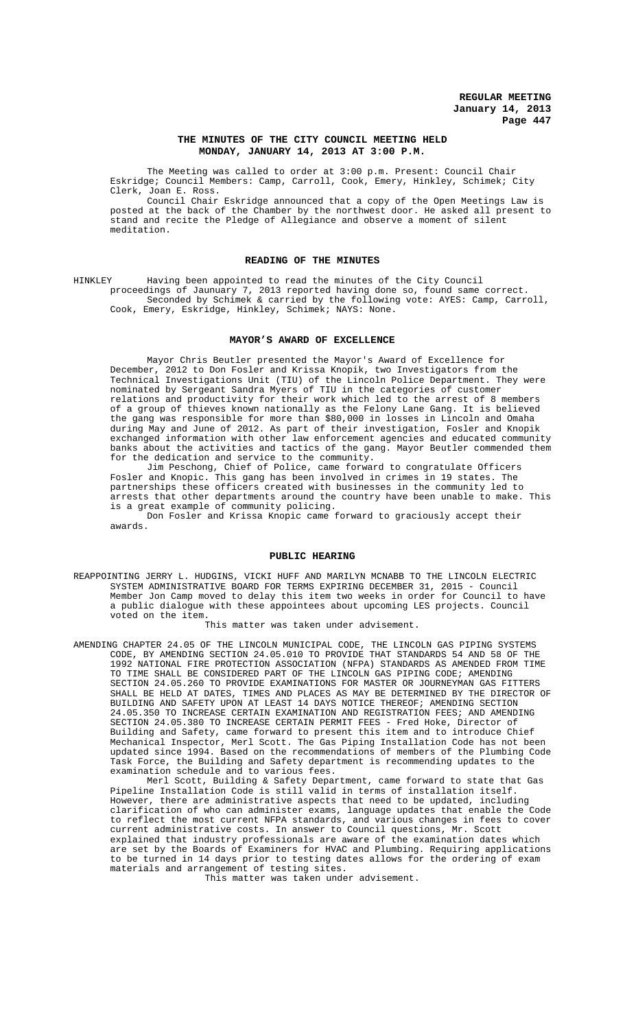## **THE MINUTES OF THE CITY COUNCIL MEETING HELD MONDAY, JANUARY 14, 2013 AT 3:00 P.M.**

The Meeting was called to order at 3:00 p.m. Present: Council Chair Eskridge; Council Members: Camp, Carroll, Cook, Emery, Hinkley, Schimek; City Clerk, Joan E. Ross.

Council Chair Eskridge announced that a copy of the Open Meetings Law is posted at the back of the Chamber by the northwest door. He asked all present to stand and recite the Pledge of Allegiance and observe a moment of silent meditation.

## **READING OF THE MINUTES**

HINKLEY Having been appointed to read the minutes of the City Council proceedings of Jaunuary 7, 2013 reported having done so, found same correct. Seconded by Schimek & carried by the following vote: AYES: Camp, Carroll, Cook, Emery, Eskridge, Hinkley, Schimek; NAYS: None.

### **MAYOR'S AWARD OF EXCELLENCE**

Mayor Chris Beutler presented the Mayor's Award of Excellence for December, 2012 to Don Fosler and Krissa Knopik, two Investigators from the Technical Investigations Unit (TIU) of the Lincoln Police Department. They were nominated by Sergeant Sandra Myers of TIU in the categories of customer relations and productivity for their work which led to the arrest of 8 members of a group of thieves known nationally as the Felony Lane Gang. It is believed the gang was responsible for more than \$80,000 in losses in Lincoln and Omaha during May and June of 2012. As part of their investigation, Fosler and Knopik exchanged information with other law enforcement agencies and educated communi law enforcement agencies and educated community banks about the activities and tactics of the gang. Mayor Beutler commended them for the dedication and service to the community.

Jim Peschong, Chief of Police, came forward to congratulate Officers Fosler and Knopic. This gang has been involved in crimes in 19 states. The partnerships these officers created with businesses in the community led to arrests that other departments around the country have been unable to make. This is a great example of community policing.

Don Fosler and Krissa Knopic came forward to graciously accept their awards.

### **PUBLIC HEARING**

REAPPOINTING JERRY L. HUDGINS, VICKI HUFF AND MARILYN MCNABB TO THE LINCOLN ELECTRIC SYSTEM ADMINISTRATIVE BOARD FOR TERMS EXPIRING DECEMBER 31, 2015 - Council Member Jon Camp moved to delay this item two weeks in order for Council to have a public dialogue with these appointees about upcoming LES projects. Council voted on the item.

This matter was taken under advisement.

AMENDING CHAPTER 24.05 OF THE LINCOLN MUNICIPAL CODE, THE LINCOLN GAS PIPING SYSTEMS CODE, BY AMENDING SECTION 24.05.010 TO PROVIDE THAT STANDARDS 54 AND 58 OF THE 1992 NATIONAL FIRE PROTECTION ASSOCIATION (NFPA) STANDARDS AS AMENDED FROM TIME TO TIME SHALL BE CONSIDERED PART OF THE LINCOLN GAS PIPING CODE; AMENDING SECTION 24.05.260 TO PROVIDE EXAMINATIONS FOR MASTER OR JOURNEYMAN GAS FITTERS SHALL BE HELD AT DATES, TIMES AND PLACES AS MAY BE DETERMINED BY THE DIRECTOR OF BUILDING AND SAFETY UPON AT LEAST 14 DAYS NOTICE THEREOF; AMENDING SECTION 24.05.350 TO INCREASE CERTAIN EXAMINATION AND REGISTRATION FEES; AND AMENDING SECTION 24.05.380 TO INCREASE CERTAIN PERMIT FEES - Fred Hoke, Director of Building and Safety, came forward to present this item and to introduce Chief Mechanical Inspector, Merl Scott. The Gas Piping Installation Code has not been updated since 1994. Based on the recommendations of members of the Plumbing Code Task Force, the Building and Safety department is recommending updates to the examination schedule and to various fees.

Merl Scott, Building & Safety Department, came forward to state that Gas Pipeline Installation Code is still valid in terms of installation itself. However, there are administrative aspects that need to be updated, including clarification of who can administer exams, language updates that enable the Code to reflect the most current NFPA standards, and various changes in fees to cover current administrative costs. In answer to Council questions, Mr. Scott explained that industry professionals are aware of the examination dates which are set by the Boards of Examiners for HVAC and Plumbing. Requiring applications to be turned in 14 days prior to testing dates allows for the ordering of exam materials and arrangement of testing sites.

This matter was taken under advisement.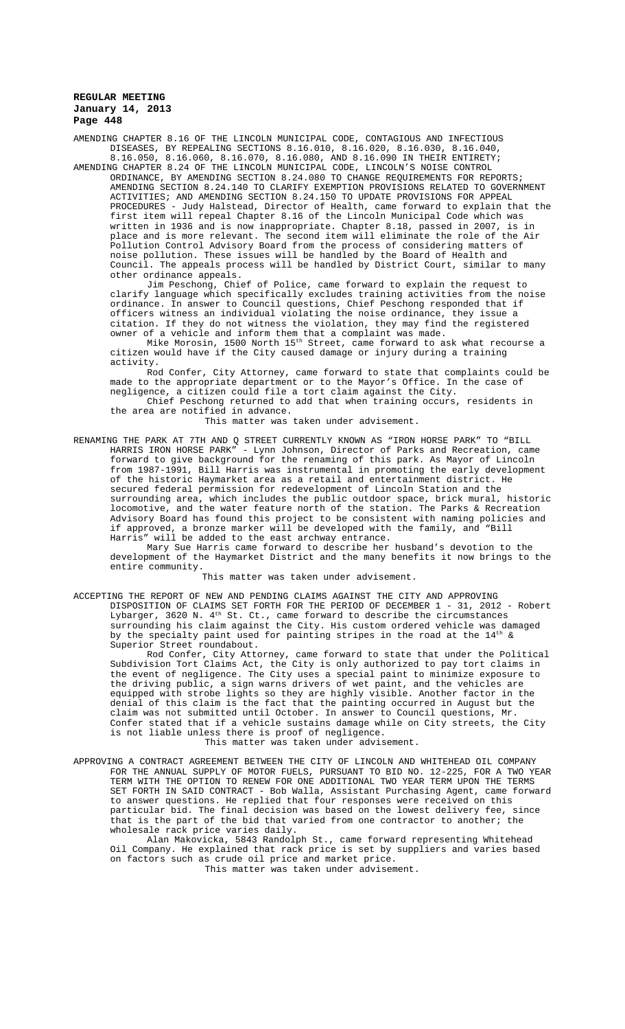AMENDING CHAPTER 8.16 OF THE LINCOLN MUNICIPAL CODE, CONTAGIOUS AND INFECTIOUS DISEASES, BY REPEALING SECTIONS 8.16.010, 8.16.020, 8.16.030, 8.16.040, 8.16.050, 8.16.060, 8.16.070, 8.16.080, AND 8.16.090 IN THEIR ENTIRETY;

AMENDING CHAPTER 8.24 OF THE LINCOLN MUNICIPAL CODE, LINCOLN'S NOISE CONTROL BY AMENDING SECTION 8.24.080 TO CHANGE REQUIREMENTS FOR REPORTS; AMENDING SECTION 8.24.140 TO CLARIFY EXEMPTION PROVISIONS RELATED TO GOVERNMENT ACTIVITIES; AND AMENDING SECTION 8.24.150 TO UPDATE PROVISIONS FOR APPEAL PROCEDURES - Judy Halstead, Director of Health, came forward to explain that the first item will repeal Chapter 8.16 of the Lincoln Municipal Code which was<br>written in 1936 and is now inappropriate. Chapter 8.18, passed in 2007, is in written in 1936 and is now inappropriate. Chapter 8.18, passed in 2007, place and is more relevant. The second item will eliminate the role of the Air Pollution Control Advisory Board from the process of considering matters of noise pollution. These issues will be handled by the Board of Health and Council. The appeals process will be handled by District Court, similar to many other ordinance appeals.

Jim Peschong, Chief of Police, came forward to explain the request to clarify language which specifically excludes training activities from the ordinance. In answer to Council questions, Chief Peschong responded that if officers witness an individual violating the noise ordinance, they issue a citation. If they do not witness the violation, they may find the registered owner of a vehicle and inform them that a complaint was made.

Mike Morosin, 1500 North 15th Street, came forward to ask what recourse a citizen would have if the City caused damage or injury during a training activity.

Rod Confer, City Attorney, came forward to state that complaints could be made to the appropriate department or to the Mayor's Office. In the case of negligence, a citizen could file a tort claim against the City.

Chief Peschong returned to add that when training occurs, residents in the area are notified in advance.

This matter was taken under advisement.

RENAMING THE PARK AT 7TH AND Q STREET CURRENTLY KNOWN AS "IRON HORSE PARK" TO "BILL HARRIS IRON HORSE PARK" - Lynn Johnson, Director of Parks and Recreation, came forward to give background for the renaming of this park. As Mayor of Lincoln from 1987-1991, Bill Harris was instrumental in promoting the early development of the historic Haymarket area as a retail and entertainment district. He secured federal permission for redevelopment of Lincoln Station and the surrounding area, which includes the public outdoor space, brick mural, historic locomotive, and the water feature north of the station. The Parks & Recreation Advisory Board has found this project to be consistent with naming policies and if approved, a bronze marker will be developed with the family, and "Bill Harris" will be added to the east archway entrance.

Mary Sue Harris came forward to describe her husband's devotion to the development of the Haymarket District and the many benefits it now brings to the entire community.

This matter was taken under advisement.

ACCEPTING THE REPORT OF NEW AND PENDING CLAIMS AGAINST THE CITY AND APPROVING DISPOSITION OF CLAIMS SET FORTH FOR THE PERIOD OF DECEMBER 1 - 31, 2012 - Robert Lybarger, 3620 N.  $4^{\text{th}}$  St. Ct., came forward to describe the circumstances surrounding his claim against the City. His custom ordered vehicle was damaged by the specialty paint used for painting stripes in the road at the  $14^{\text{th}}$  & Superior Street roundabout.

Rod Confer, City Attorney, came forward to state that under the Political Subdivision Tort Claims Act, the City is only authorized to pay tort claims in the event of negligence. The City uses a special paint to minimize exposure to the driving public, a sign warns drivers of wet paint, and the vehicles are equipped with strobe lights so they are highly visible. Another factor in the denial of this claim is the fact that the painting occurred in August but the claim was not submitted until October. In answer to Council questions, Mr. Confer stated that if a vehicle sustains damage while on City streets, the City is not liable unless there is proof of negligence.

This matter was taken under advisement.

APPROVING A CONTRACT AGREEMENT BETWEEN THE CITY OF LINCOLN AND WHITEHEAD OIL COMPANY FOR THE ANNUAL SUPPLY OF MOTOR FUELS, PURSUANT TO BID NO. 12-225, FOR A TWO YEAR TERM WITH THE OPTION TO RENEW FOR ONE ADDITIONAL TWO YEAR TERM UPON THE TERMS SET FORTH IN SAID CONTRACT - Bob Walla, Assistant Purchasing Agent, came forward to answer questions. He replied that four responses were received on this particular bid. The final decision was based on the lowest delivery fee, since that is the part of the bid that varied from one contractor to another; the wholesale rack price varies daily.

Alan Makovicka, 5843 Randolph St., came forward representing Whitehead Oil Company. He explained that rack price is set by suppliers and varies based on factors such as crude oil price and market price.

This matter was taken under advisement.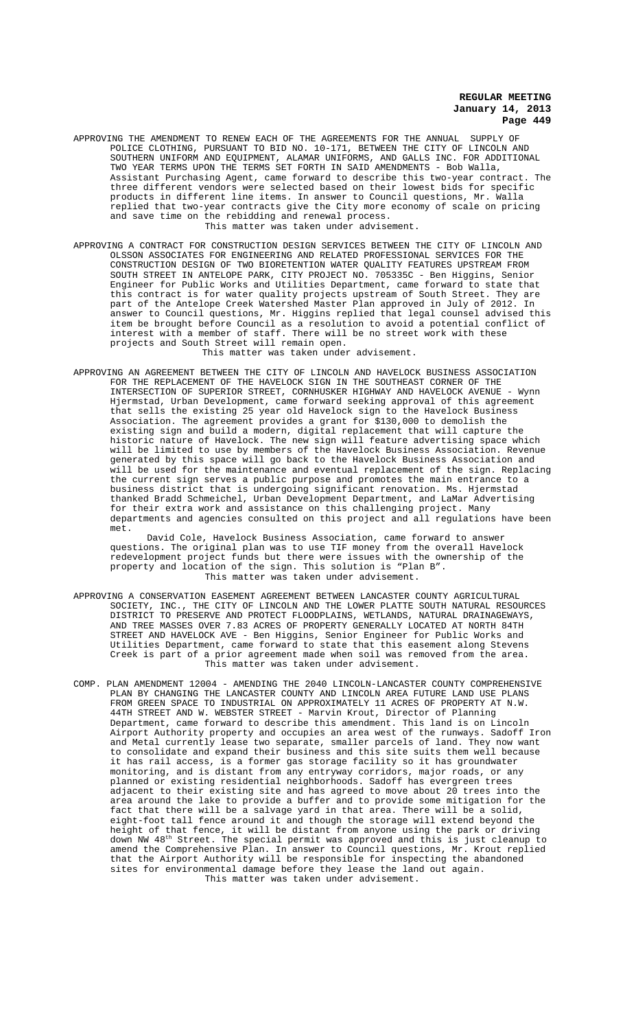- APPROVING THE AMENDMENT TO RENEW EACH OF THE AGREEMENTS FOR THE ANNUAL SUPPLY OF POLICE CLOTHING, PURSUANT TO BID NO. 10-171, BETWEEN THE CITY OF LINCOLN AND SOUTHERN UNIFORM AND EQUIPMENT, ALAMAR UNIFORMS, AND GALLS INC. FOR ADDITIONAL TWO YEAR TERMS UPON THE TERMS SET FORTH IN SAID AMENDMENTS - Bob Walla, Assistant Purchasing Agent, came forward to describe this two-year contract three different vendors were selected based on their lowest bids for specific products in different line items. In answer to Council questions, Mr. Walla replied that two-year contracts give the City more economy of scale on pricing and save time on the rebidding and renewal process. This matter was taken under advisement.
- APPROVING A CONTRACT FOR CONSTRUCTION DESIGN SERVICES BETWEEN THE CITY OF LINCOLN AND OLSSON ASSOCIATES FOR ENGINEERING AND RELATED PROFESSIONAL SERVICES FOR THE CONSTRUCTION DESIGN OF TWO BIORETENTION WATER QUALITY FEATURES UPSTREAM FROM SOUTH STREET IN ANTELOPE PARK, CITY PROJECT NO. 705335C - Ben Higgins, Senior Engineer for Public Works and Utilities Department, came forward to state that this contract is for water quality projects upstream of South Street. part of the Antelope Creek Watershed Master Plan approved in July of 2012. In answer to Council questions, Mr. Higgins replied that legal counsel advised this item be brought before Council as a resolution to avoid a potential conflict of interest with a member of staff. There will be no street work with these projects and South Street will remain open.

This matter was taken under advisement.

APPROVING AN AGREEMENT BETWEEN THE CITY OF LINCOLN AND HAVELOCK BUSINESS ASSOCIATION FOR THE REPLACEMENT OF THE HAVELOCK SIGN IN THE SOUTHEAST CORNER OF THE INTERSECTION OF SUPERIOR STREET, CORNHUSKER HIGHWAY AND HAVELOCK AVENUE - Wynn Hjermstad, Urban Development, came forward seeking approval of this agreement that sells the existing 25 year old Havelock sign to the Havelock Business Association. The agreement provides a grant for \$130,000 to demolish the existing sign and build a modern, digital replacement that will capture the historic nature of Havelock. The new sign will feature advertising space which will be limited to use by members of the Havelock Business Association. Revenue generated by this space will go back to the Havelock Business Association and will be used for the maintenance and eventual replacement of the sign. Replacing the current sign serves a public purpose and promotes the main entrance to a business district that is undergoing significant renovation. Ms. Hjermstad thanked Bradd Schmeichel, Urban Development Department, and LaMar Advertising for their extra work and assistance on this challenging project. Many departments and agencies consulted on this project and all regulations have been met.

David Cole, Havelock Business Association, came forward to answer questions. The original plan was to use TIF money from the overall Havelock redevelopment project funds but there were issues with the ownership of the property and location of the sign. This solution is "Plan B". This matter was taken under advisement.

- APPROVING A CONSERVATION EASEMENT AGREEMENT BETWEEN LANCASTER COUNTY AGRICULTURAL SOCIETY, INC., THE CITY OF LINCOLN AND THE LOWER PLATTE SOUTH NATURAL RESOURCES DISTRICT TO PRESERVE AND PROTECT FLOODPLAINS, WETLANDS, NATURAL DRAINAGEWAYS, AND TREE MASSES OVER 7.83 ACRES OF PROPERTY GENERALLY LOCATED AT NORTH 84TH STREET AND HAVELOCK AVE - Ben Higgins, Senior Engineer for Public Works and Utilities Department, came forward to state that this easement along Stevens Creek is part of a prior agreement made when soil was removed from the area. This matter was taken under advisement.
- COMP. PLAN AMENDMENT 12004 AMENDING THE 2040 LINCOLN-LANCASTER COUNTY COMPREHENSIVE PLAN BY CHANGING THE LANCASTER COUNTY AND LINCOLN AREA FUTURE LAND USE PLANS FROM GREEN SPACE TO INDUSTRIAL ON APPROXIMATELY 11 ACRES OF PROPERTY AT N.W. 44TH STREET AND W. WEBSTER STREET - Marvin Krout, Director of Planning Department, came forward to describe this amendment. This land is on Lincoln Airport Authority property and occupies an area west of the runways. Sadoff Iron and Metal currently lease two separate, smaller parcels of land. They now want to consolidate and expand their business and this site suits them well because it has rail access, is a former gas storage facility so it has groundwater monitoring, and is distant from any entryway corridors, major roads, or any<br>planned or existing residential neighborhoods. Sadoff has evergreen trees existing residential neighborhoods. Sadoff has evergreen trees adjacent to their existing site and has agreed to move about 20 trees into the area around the lake to provide a buffer and to provide some mitigation for the fact that there will be a salvage yard in that area. There will be a solid, eight-foot tall fence around it and though the storage will extend beyond the height of that fence, it will be distant from anyone using the park or driving down NW 48th Street. The special permit was approved and this is just cleanup to amend the Comprehensive Plan. In answer to Council questions, Mr. Krout replied that the Airport Authority will be responsible for inspecting the abandoned sites for environmental damage before they lease the land out again. This matter was taken under advisement.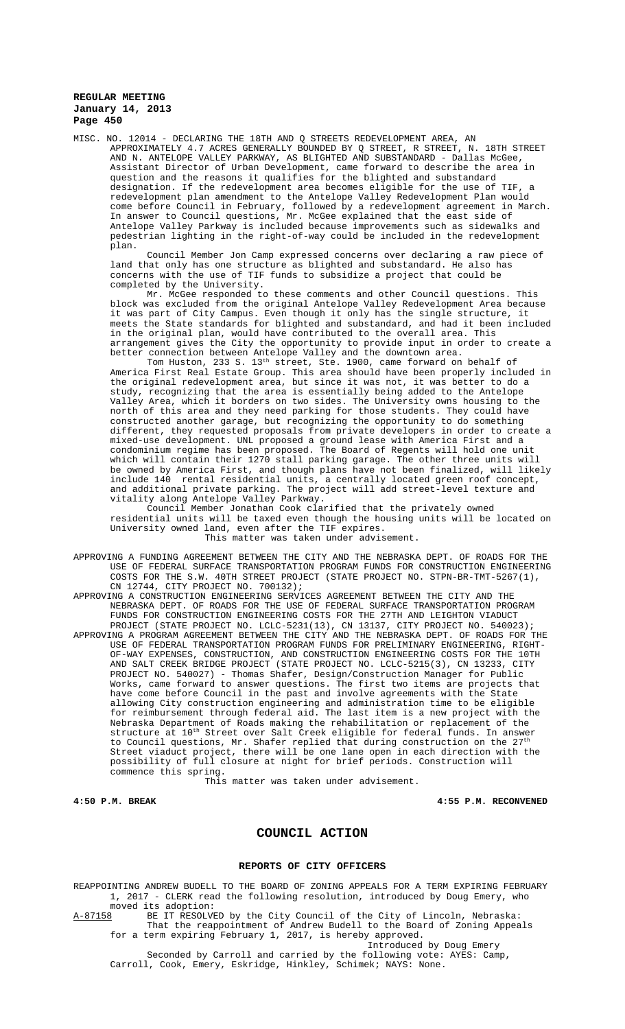MISC. NO. 12014 - DECLARING THE 18TH AND Q STREETS REDEVELOPMENT AREA, AN APPROXIMATELY 4.7 ACRES GENERALLY BOUNDED BY Q STREET, R STREET, N. 18TH STREET AND N. ANTELOPE VALLEY PARKWAY, AS BLIGHTED AND SUBSTANDARD - Dallas McGee, Assistant Director of Urban Development, came forward to describe the area in question and the reasons it qualifies for the blighted and substandard designation. If the redevelopment area becomes eligible for the use of TIF, a redevelopment plan amendment to the Antelope Valley Redevelopment Plan would come before Council in February, followed by a redevelopment agreement in March. In answer to Council questions, Mr. McGee explained that the east side of Antelope Valley Parkway is included because improvements such as sidewalks and pedestrian lighting in the right-of-way could be included in the redevelopment plan.

Council Member Jon Camp expressed concerns over declaring a raw piece of land that only has one structure as blighted and substandard. He also has concerns with the use of TIF funds to subsidize a project that could be completed by the University.

Mr. McGee responded to these comments and other Council questions. This block was excluded from the original Antelope Valley Redevelopment Area because it was part of City Campus. Even though it only has the single structure, it meets the State standards for blighted and substandard, and had it been included in the original plan, would have contributed to the overall area. This arrangement gives the City the opportunity to provide input in order to create a better connection between Antelope Valley and the downtown area.

Tom Huston, 233 S.  $13^{\text{th}}$  street, Ste. 1900, came forward on behalf of America First Real Estate Group. This area should have been properly included in the original redevelopment area, but since it was not, it was better to do a study, recognizing that the area is essentially being added to the Antelope Valley Area, which it borders on two sides. The University owns housing to the north of this area and they need parking for those students. They could have constructed another garage, but recognizing the opportunity to do something different, they requested proposals from private developers in order to create a mixed-use development. UNL proposed a ground lease with America First and a condominium regime has been proposed. The Board of Regents will hold one unit which will contain their 1270 stall parking garage. The other three units will be owned by America First, and though plans have not been finalized, will likely include 140 rental residential units, a centrally located green roof concept, and additional private parking. The project will add street-level texture and vitality along Antelope Valley Parkway.

Council Member Jonathan Cook clarified that the privately owned residential units will be taxed even though the housing units will be located on University owned land, even after the TIF expires. This matter was taken under advisement.

APPROVING A FUNDING AGREEMENT BETWEEN THE CITY AND THE NEBRASKA DEPT. OF ROADS FOR THE USE OF FEDERAL SURFACE TRANSPORTATION PROGRAM FUNDS FOR CONSTRUCTION ENGINEERING COSTS FOR THE S.W. 40TH STREET PROJECT (STATE PROJECT NO. STPN-BR-TMT-5267(1), CN 12744, CITY PROJECT NO. 700132);

APPROVING A CONSTRUCTION ENGINEERING SERVICES AGREEMENT BETWEEN THE CITY AND THE NEBRASKA DEPT. OF ROADS FOR THE USE OF FEDERAL SURFACE TRANSPORTATION PROGRAM FUNDS FOR CONSTRUCTION ENGINEERING COSTS FOR THE 27TH AND LEIGHTON VIADUCT PROJECT (STATE PROJECT NO. LCLC-5231(13), CN 13137, CITY PROJECT NO. 540023);

APPROVING A PROGRAM AGREEMENT BETWEEN THE CITY AND THE NEBRASKA DEPT. OF ROADS FOR THE USE OF FEDERAL TRANSPORTATION PROGRAM FUNDS FOR PRELIMINARY ENGINEERING, RIGHT-OF-WAY EXPENSES, CONSTRUCTION, AND CONSTRUCTION ENGINEERING COSTS FOR THE 10TH AND SALT CREEK BRIDGE PROJECT (STATE PROJECT NO. LCLC-5215(3), CN 13233, CITY PROJECT NO. 540027) - Thomas Shafer, Design/Construction Manager for Public Works, came forward to answer questions. The first two items are projects that have come before Council in the past and involve agreements with the State allowing City construction engineering and administration time to be eligible for reimbursement through federal aid. The last item is a new project with the Nebraska Department of Roads making the rehabilitation or replacement of the structure at 10<sup>th</sup> Street over Salt Creek eligible for federal funds. In answer to Council questions, Mr. Shafer replied that during construction on the  $27<sup>th</sup>$ Street viaduct project, there will be one lane open in each direction with the possibility of full closure at night for brief periods. Construction will commence this spring.

This matter was taken under advisement.

**4:50 P.M. BREAK 4:55 P.M. RECONVENED**

## **COUNCIL ACTION**

#### **REPORTS OF CITY OFFICERS**

REAPPOINTING ANDREW BUDELL TO THE BOARD OF ZONING APPEALS FOR A TERM EXPIRING FEBRUARY 1, 2017 - CLERK read the following resolution, introduced by Doug Emery, who moved its adoption:<br>A-87158 BE IT RESOLVE

BE IT RESOLVED by the City Council of the City of Lincoln, Nebraska: That the reappointment of Andrew Budell to the Board of Zoning Appeals for a term expiring February 1, 2017, is hereby approved.

Introduced by Doug Emery Seconded by Carroll and carried by the following vote: AYES: Camp, Carroll, Cook, Emery, Eskridge, Hinkley, Schimek; NAYS: None.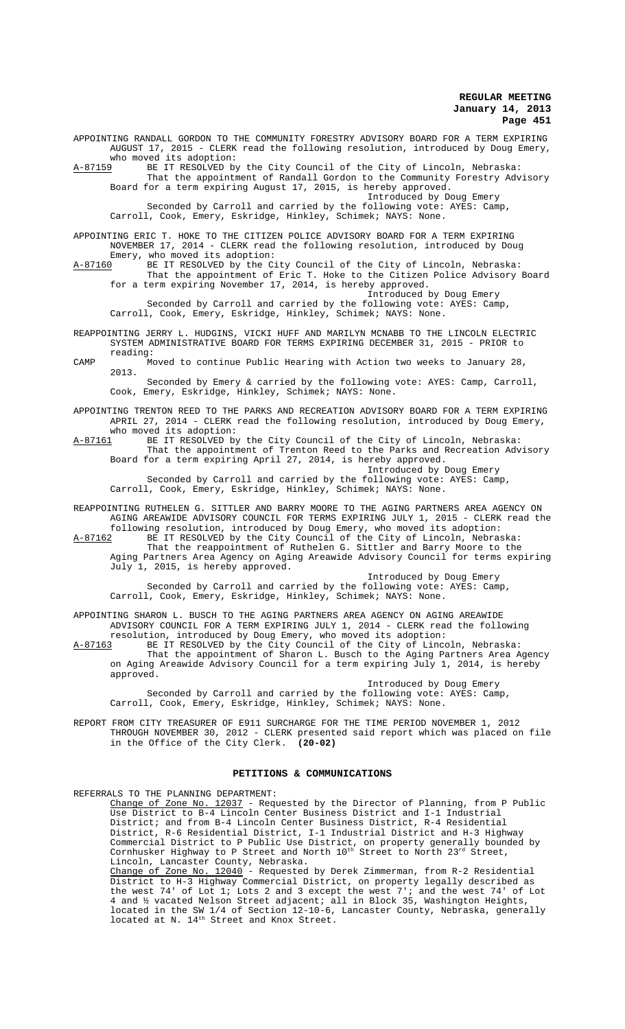who moved its adoption: A-87159 BE IT RESOLVED by the City Council of the City of Lincoln, Nebraska: That the appointment of Randall Gordon to the Community Forestry Advisory Board for a term expiring August 17, 2015, is hereby approved. Introduced by Doug Emery Seconded by Carroll and carried by the following vote: AYES: Camp, Carroll, Cook, Emery, Eskridge, Hinkley, Schimek; NAYS: None. APPOINTING ERIC T. HOKE TO THE CITIZEN POLICE ADVISORY BOARD FOR A TERM EXPIRING NOVEMBER 17, 2014 - CLERK read the following resolution, introduced by Doug Emery, who moved its adoption: A-87160 BE IT RESOLVED by the City Council of the City of Lincoln, Nebraska: That the appointment of Eric T. Hoke to the Citizen Police Advisory Board for a term expiring November 17, 2014, is hereby approved. Introduced by Doug Emery Seconded by Carroll and carried by the following vote: AYES: Camp, Carroll, Cook, Emery, Eskridge, Hinkley, Schimek; NAYS: None. REAPPOINTING JERRY L. HUDGINS, VICKI HUFF AND MARILYN MCNABB TO THE LINCOLN ELECTRIC SYSTEM ADMINISTRATIVE BOARD FOR TERMS EXPIRING DECEMBER 31, 2015 - PRIOR to reading: CAMP Moved to continue Public Hearing with Action two weeks to January 28, 2013. Seconded by Emery & carried by the following vote: AYES: Camp, Carroll, Cook, Emery, Eskridge, Hinkley, Schimek; NAYS: None. APPOINTING TRENTON REED TO THE PARKS AND RECREATION ADVISORY BOARD FOR A TERM EXPIRING APRIL 27, 2014 - CLERK read the following resolution, introduced by Doug Emery, who moved its adoption:

APPOINTING RANDALL GORDON TO THE COMMUNITY FORESTRY ADVISORY BOARD FOR A TERM EXPIRING

AUGUST 17, 2015 - CLERK read the following resolution, introduced by Doug Emery,

A-87161 BE IT RESOLVED by the City Council of the City of Lincoln, Nebraska: That the appointment of Trenton Reed to the Parks and Recreation Advisory Board for a term expiring April 27, 2014, is hereby approved. Introduced by Doug Emery

Seconded by Carroll and carried by the following vote: AYES: Camp, Carroll, Cook, Emery, Eskridge, Hinkley, Schimek; NAYS: None.

REAPPOINTING RUTHELEN G. SITTLER AND BARRY MOORE TO THE AGING PARTNERS AREA AGENCY ON AGING AREAWIDE ADVISORY COUNCIL FOR TERMS EXPIRING JULY 1, 2015 - CLERK read the following resolution, introduced by Doug Emery, who moved its adoption:

A-87162 BE IT RESOLVED by the City Council of the City of Lincoln, Nebraska: That the reappointment of Ruthelen G. Sittler and Barry Moore to the Aging Partners Area Agency on Aging Areawide Advisory Council for terms expiring July 1, 2015, is hereby approved.

Introduced by Doug Emery Seconded by Carroll and carried by the following vote: AYES: Camp, Carroll, Cook, Emery, Eskridge, Hinkley, Schimek; NAYS: None.

APPOINTING SHARON L. BUSCH TO THE AGING PARTNERS AREA AGENCY ON AGING AREAWIDE ADVISORY COUNCIL FOR A TERM EXPIRING JULY 1, 2014 - CLERK read the following resolution, introduced by Doug Emery, who moved its adoption:<br>A-87163 BE IT RESOLVED by the City Council of the City of Linco

A-87163 BE IT RESOLVED by the City Council of the City of Lincoln, Nebraska: That the appointment of Sharon L. Busch to the Aging Partners Area Agency on Aging Areawide Advisory Council for a term expiring July 1, 2014, is hereby approved.

Introduced by Doug Emery Seconded by Carroll and carried by the following vote: AYES: Camp, Carroll, Cook, Emery, Eskridge, Hinkley, Schimek; NAYS: None.

REPORT FROM CITY TREASURER OF E911 SURCHARGE FOR THE TIME PERIOD NOVEMBER 1, 2012 THROUGH NOVEMBER 30, 2012 - CLERK presented said report which was placed on file in the Office of the City Clerk. **(20-02)**

#### **PETITIONS & COMMUNICATIONS**

REFERRALS TO THE PLANNING DEPARTMENT:

Change of Zone No. 12037 - Requested by the Director of Planning, from P Public Use District to B-4 Lincoln Center Business District and I-1 Industrial District; and from B-4 Lincoln Center Business District, R-4 Residential District, R-6 Residential District, I-1 Industrial District and H-3 Highway Commercial District to P Public Use District, on property generally bounded by Cornhusker Highway to P Street and North  $10^{\rm th}$  Street to North  $23^{\rm rd}$  Street, Lincoln, Lancaster County, Nebraska. Change of Zone No. 12040 - Requested by Derek Zimmerman, from R-2 Residential District to H-3 Highway Commercial District, on property legally described as

the west 74' of Lot 1; Lots 2 and 3 except the west 7'; and the west 74' of Lot 4 and ½ vacated Nelson Street adjacent; all in Block 35, Washington Heights, located in the SW 1/4 of Section 12-10-6, Lancaster County, Nebraska, generally located at N. 14<sup>th</sup> Street and Knox Street.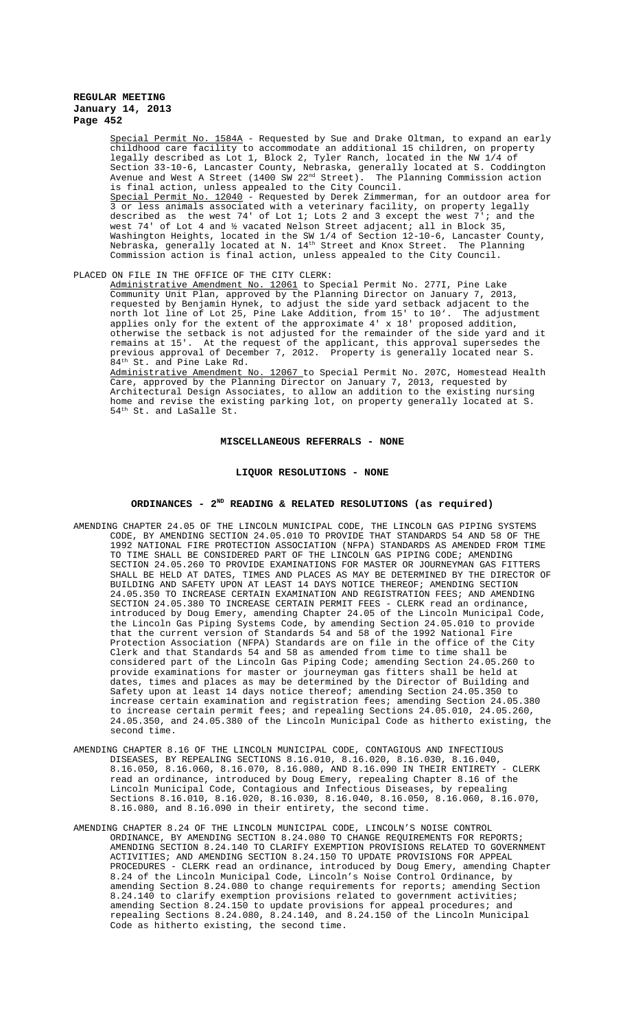Special Permit No. 1584A - Requested by Sue and Drake Oltman, to expand an early childhood care facility to accommodate an additional 15 children, on property legally described as Lot 1, Block 2, Tyler Ranch, located in the NW 1/4 of Section 33-10-6, Lancaster County, Nebraska, generally located at S. Coddington Avenue and West A Street (1400 SW 22<sup>nd</sup> Street). The Planning Commission action is final action, unless appealed to the City Council. Special Permit No. 12040 - Requested by Derek Zimmerman, for an outdoor area for 3 or less animals associated with a veterinary facility, on property legally described as the west 74' of Lot 1; Lots 2 and 3 except the west 7'; and the 74' of Lot 4 and ½ vacated Nelson Street adjacent; all in Block 35, Washington Heights, located in the SW 1/4 of Section 12-10-6, Lancaster County, Nebraska, generally located at N.  $14^{\text{th}}$  Street and Knox Street. The Planning Commission action is final action, unless appealed to the City Council.

# PLACED ON FILE IN THE OFFICE OF THE CITY CLERK:

Administrative Amendment No. 12061 to Special Permit No. 277I, Pine Lake<br>Community Unit Plan, approved by the Planning Director on January 7, 201 Unit Plan, approved by the Planning Director on January 7, 2013, requested by Benjamin Hynek, to adjust the side yard setback adjacent to the north lot line of Lot 25, Pine Lake Addition, from 15' to 10'. The adjustment applies only for the extent of the approximate 4' x 18' proposed addition, otherwise the setback is not adjusted for the remainder of the side yard and it remains at 15'. At the request of the applicant, this approval supersedes the previous approval of December 7, 2012. Property is generally located near S. 84<sup>th</sup> St. and Pine Lake Rd.<br>Administrative Amendment No.

12067 to Special Permit No. 207C, Homestead Health Care, approved by the Planning Director on January 7, 2013, requested by Architectural Design Associates, to allow an addition to the existing nursing home and revise the existing parking lot, on property generally located at S. 54<sup>th</sup> St. and LaSalle St.

### **MISCELLANEOUS REFERRALS - NONE**

## **LIQUOR RESOLUTIONS - NONE**

## **ORDINANCES - 2ND READING & RELATED RESOLUTIONS (as required)**

- AMENDING CHAPTER 24.05 OF THE LINCOLN MUNICIPAL CODE, THE LINCOLN GAS PIPING SYSTEMS CODE, BY AMENDING SECTION 24.05.010 TO PROVIDE THAT STANDARDS 54 AND 58 OF THE 1992 NATIONAL FIRE PROTECTION ASSOCIATION (NFPA) STANDARDS AS AMENDED FROM TIME TO TIME SHALL BE CONSIDERED PART OF THE LINCOLN GAS PIPING CODE; AMENDING SECTION 24.05.260 TO PROVIDE EXAMINATIONS FOR MASTER OR JOURNEYMAN GAS FITTERS SHALL BE HELD AT DATES, TIMES AND PLACES AS MAY BE DETERMINED BY THE DIRECTOR OF BUILDING AND SAFETY UPON AT LEAST 14 DAYS NOTICE THEREOF; AMENDING SECTION 24.05.350 TO INCREASE CERTAIN EXAMINATION AND REGISTRATION FEES; AND AMENDING SECTION 24.05.380 TO INCREASE CERTAIN PERMIT FEES - CLERK read an ordinance, introduced by Doug Emery, amending Chapter 24.05 of the Lincoln Municipal Code, the Lincoln Gas Piping Systems Code, by amending Section 24.05.010 to provide that the current version of Standards 54 and 58 of the 1992 National Fire Protection Association (NFPA) Standards are on file in the office of the City Clerk and that Standards 54 and 58 as amended from time to time shall be considered part of the Lincoln Gas Piping Code; amending Section 24.05.260 to provide examinations for master or journeyman gas fitters shall be held at dates, times and places as may be determined by the Director of Building and Safety upon at least 14 days notice thereof; amending Section 24.05.350 to increase certain examination and registration fees; amending Section 24.05.380 to increase certain permit fees; and repealing Sections 24.05.010, 24.05.260, 24.05.350, and 24.05.380 of the Lincoln Municipal Code as hitherto existing, the second time.
- AMENDING CHAPTER 8.16 OF THE LINCOLN MUNICIPAL CODE, CONTAGIOUS AND INFECTIOUS DISEASES, BY REPEALING SECTIONS 8.16.010, 8.16.020, 8.16.030, 8.16.040, 8.16.050, 8.16.060, 8.16.070, 8.16.080, AND 8.16.090 IN THEIR ENTIRETY - CLERK read an ordinance, introduced by Doug Emery, repealing Chapter 8.16 of the Lincoln Municipal Code, Contagious and Infectious Diseases, by repealing Sections 8.16.010, 8.16.020, 8.16.030, 8.16.040, 8.16.050, 8.16.060, 8.16.070, 8.16.080, and 8.16.090 in their entirety, the second time.
- AMENDING CHAPTER 8.24 OF THE LINCOLN MUNICIPAL CODE, LINCOLN'S NOISE CONTROL ORDINANCE, BY AMENDING SECTION 8.24.080 TO CHANGE REQUIREMENTS FOR REPORTS; AMENDING SECTION 8.24.140 TO CLARIFY EXEMPTION PROVISIONS RELATED TO GOVERNMENT ACTIVITIES; AND AMENDING SECTION 8.24.150 TO UPDATE PROVISIONS FOR APPEAL PROCEDURES - CLERK read an ordinance, introduced by Doug Emery, amending Chapter 8.24 of the Lincoln Municipal Code, Lincoln's Noise Control Ordinance, by amending Section 8.24.080 to change requirements for reports; amending Section 8.24.140 to clarify exemption provisions related to government activities; amending Section 8.24.150 to update provisions for appeal procedures; and repealing Sections 8.24.080, 8.24.140, and 8.24.150 of the Lincoln Municipal Code as hitherto existing, the second time.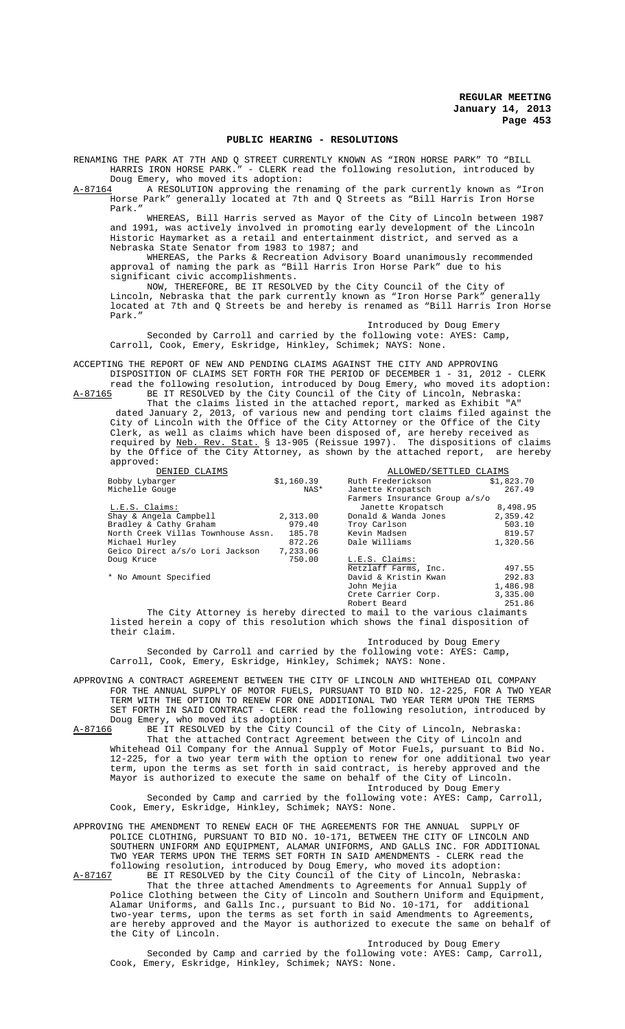### **PUBLIC HEARING - RESOLUTIONS**

RENAMING THE PARK AT 7TH AND Q STREET CURRENTLY KNOWN AS "IRON HORSE PARK" TO "BILL HARRIS IRON HORSE PARK." - CLERK read the following resolution, introduced by Doug Emery, who moved its adoption:

A-87164 A RESOLUTION approving the renaming of the park currently known as "Iron Horse Park" generally located at 7th and Q Streets as "Bill Harris Iron Horse Park."

WHEREAS, Bill Harris served as Mayor of the City of Lincoln between 1987 and 1991, was actively involved in promoting early development of the Lincoln Historic Haymarket as a retail and entertainment district, and served as a Nebraska State Senator from 1983 to 1987; and

WHEREAS, the Parks & Recreation Advisory Board unanimously recommended approval of naming the park as "Bill Harris Iron Horse Park" due to his significant civic accomplishments.

NOW, THEREFORE, BE IT RESOLVED by the City Council of the City of Lincoln, Nebraska that the park currently known as "Iron Horse Park" generally located at 7th and Q Streets be and hereby is renamed as "Bill Harris Iron Horse Park."

Introduced by Doug Emery Seconded by Carroll and carried by the following vote: AYES: Camp, Carroll, Cook, Emery, Eskridge, Hinkley, Schimek; NAYS: None.

ACCEPTING THE REPORT OF NEW AND PENDING CLAIMS AGAINST THE CITY AND APPROVING DISPOSITION OF CLAIMS SET FORTH FOR THE PERIOD OF DECEMBER 1 - 31, 2012 - CLERK

read the following resolution, introduced by Doug Emery, who moved its adoption: A-87165 BE IT RESOLVED by the City Council of the City of Lincoln, Nebraska: That the claims listed in the attached report, marked as Exhibit "A"

 dated January 2, 2013, of various new and pending tort claims filed against the City of Lincoln with the Office of the City Attorney or the Office of the City Clerk, as well as claims which have been disposed of, are hereby received as required by <u>Neb. Rev. Stat.</u> § 13-905 (Reissue 1997). The dispositions of claims by the Office of the City Attorney, as shown by the attached report, are hereby approved:

| DENIED CLAIMS                      |            | ALLOWED/SETTLED CLAIMS        |            |  |
|------------------------------------|------------|-------------------------------|------------|--|
| Bobby Lybarger                     | \$1,160.39 | Ruth Frederickson             | \$1,823.70 |  |
| Michelle Gouge                     | NAS*       | Janette Kropatsch             | 267.49     |  |
|                                    |            | Farmers Insurance Group a/s/o |            |  |
| L.E.S. Claims:                     |            | Janette Kropatsch             | 8,498.95   |  |
| Shay & Angela Campbell             | 2,313.00   | Donald & Wanda Jones          | 2,359.42   |  |
| Bradley & Cathy Graham             | 979.40     | Troy Carlson                  | 503.10     |  |
| North Creek Villas Townhouse Assn. | 185.78     | Kevin Madsen                  | 819.57     |  |
| Michael Hurley                     | 872.26     | Dale Williams                 | 1,320.56   |  |
| Geico Direct a/s/o Lori Jackson    | 7,233.06   |                               |            |  |
| Doug Kruce                         | 750.00     | L.E.S. Claims:                |            |  |
|                                    |            | Retzlaff Farms, Inc.          | 497.55     |  |
| * No Amount Specified              |            | David & Kristin Kwan          | 292.83     |  |
|                                    |            | John Mejia                    | 1,486.98   |  |
|                                    |            | Crete Carrier Corp.           | 3,335.00   |  |
|                                    |            | Robert Beard                  | 251.86     |  |

The City Attorney is hereby directed to mail to the various claimants listed herein a copy of this resolution which shows the final disposition of their claim.

Introduced by Doug Emery Seconded by Carroll and carried by the following vote: AYES: Camp, Carroll, Cook, Emery, Eskridge, Hinkley, Schimek; NAYS: None.

APPROVING A CONTRACT AGREEMENT BETWEEN THE CITY OF LINCOLN AND WHITEHEAD OIL COMPANY FOR THE ANNUAL SUPPLY OF MOTOR FUELS, PURSUANT TO BID NO. 12-225, FOR A TWO YEAR TERM WITH THE OPTION TO RENEW FOR ONE ADDITIONAL TWO YEAR TERM UPON THE TERMS SET FORTH IN SAID CONTRACT - CLERK read the following resolution, introduced by Doug Emery, who moved its adoption:<br>A-87166 BE IT RESOLVED by the City Co

BE IT RESOLVED by the City Council of the City of Lincoln, Nebraska: That the attached Contract Agreement between the City of Lincoln and Whitehead Oil Company for the Annual Supply of Motor Fuels, pursuant to Bid No. 12-225, for a two year term with the option to renew for one additional two year term, upon the terms as set forth in said contract, is hereby approved and the Mayor is authorized to execute the same on behalf of the City of Lincoln. Introduced by Doug Emery Seconded by Camp and carried by the following vote: AYES: Camp, Carroll,

Cook, Emery, Eskridge, Hinkley, Schimek; NAYS: None.

- APPROVING THE AMENDMENT TO RENEW EACH OF THE AGREEMENTS FOR THE ANNUAL SUPPLY OF POLICE CLOTHING, PURSUANT TO BID NO. 10-171, BETWEEN THE CITY OF LINCOLN AND SOUTHERN UNIFORM AND EQUIPMENT, ALAMAR UNIFORMS, AND GALLS INC. FOR ADDITIONAL TWO YEAR TERMS UPON THE TERMS SET FORTH IN SAID AMENDMENTS - CLERK read the following resolution, introduced by Doug Emery, who moved its adoption:
- A-87167 BE IT RESOLVED by the City Council of the City of Lincoln, Nebraska: That the three attached Amendments to Agreements for Annual Supply of Police Clothing between the City of Lincoln and Southern Uniform and Equipment, Alamar Uniforms, and Galls Inc., pursuant to Bid No. 10-171, for additional two-year terms, upon the terms as set forth in said Amendments to Agreements, are hereby approved and the Mayor is authorized to execute the same on behalf of the City of Lincoln.

Introduced by Doug Emery

Seconded by Camp and carried by the following vote: AYES: Camp, Carroll, Cook, Emery, Eskridge, Hinkley, Schimek; NAYS: None.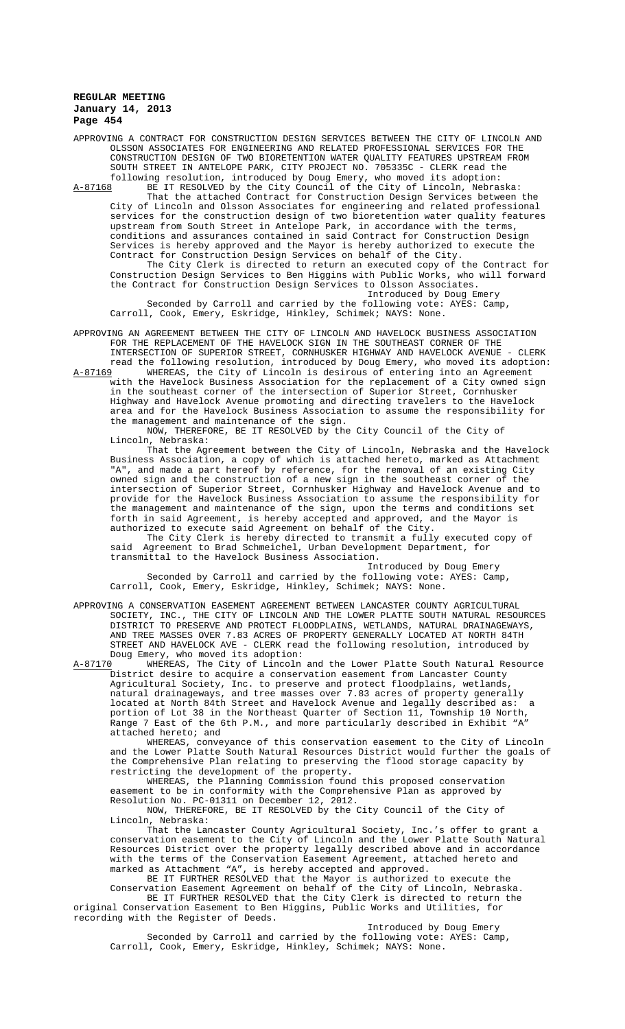APPROVING A CONTRACT FOR CONSTRUCTION DESIGN SERVICES BETWEEN THE CITY OF LINCOLN AND OLSSON ASSOCIATES FOR ENGINEERING AND RELATED PROFESSIONAL SERVICES FOR THE CONSTRUCTION DESIGN OF TWO BIORETENTION WATER QUALITY FEATURES UPSTREAM FROM SOUTH STREET IN ANTELOPE PARK, CITY PROJECT NO. 705335C - CLERK read the following resolution, introduced by Doug Emery, who moved its adoption: A-87168 BE IT RESOLVED by the City Council of the City of Lincoln, Nebraska: That the attached Contract for Construction Design Services between the City of Lincoln and Olsson Associates for engineering and related professional services for the construction design of two bioretention water quality features upstream from South Street in Antelope Park, in accordance with the terms, conditions and assurances contained in said Contract for Construction Design Services is hereby approved and the Mayor is hereby authorized to execute the Contract for Construction Design Services on behalf of the City. The City Clerk is directed to return an executed copy of the Contract for Construction Design Services to Ben Higgins with Public Works, who will forward the Contract for Construction Design Services to Olsson Associates.

Introduced by Doug Emery Seconded by Carroll and carried by the following vote: AYES: Camp, Carroll, Cook, Emery, Eskridge, Hinkley, Schimek; NAYS: None.

APPROVING AN AGREEMENT BETWEEN THE CITY OF LINCOLN AND HAVELOCK BUSINESS ASSOCIATION FOR THE REPLACEMENT OF THE HAVELOCK SIGN IN THE SOUTHEAST CORNER OF THE INTERSECTION OF SUPERIOR STREET, CORNHUSKER HIGHWAY AND HAVELOCK AVENUE - CLERK read the following resolution, introduced by Doug Emery, who moved its adoption:<br>A-87169 WHEREAS, the City of Lincoln is desirous of entering into an Agreement

WHEREAS, the City of Lincoln is desirous of entering into an Agreement with the Havelock Business Association for the replacement of a City owned sign in the southeast corner of the intersection of Superior Street, Cornhusker Highway and Havelock Avenue promoting and directing travelers to the Havelock area and for the Havelock Business Association to assume the responsibility for the management and maintenance of the sign.

 NOW, THEREFORE, BE IT RESOLVED by the City Council of the City of Lincoln, Nebraska:

That the Agreement between the City of Lincoln, Nebraska and the Havelock Business Association, a copy of which is attached hereto, marked as Attachment "A", and made a part hereof by reference, for the removal of an existing City owned sign and the construction of a new sign in the southeast corner of the intersection of Superior Street, Cornhusker Highway and Havelock Avenue and to provide for the Havelock Business Association to assume the responsibility for the management and maintenance of the sign, upon the terms and conditions set forth in said Agreement, is hereby accepted and approved, and the Mayor is authorized to execute said Agreement on behalf of the City.

The City Clerk is hereby directed to transmit a fully executed copy of said Agreement to Brad Schmeichel, Urban Development Department, for transmittal to the Havelock Business Association.

Introduced by Doug Emery Seconded by Carroll and carried by the following vote: AYES: Camp, Carroll, Cook, Emery, Eskridge, Hinkley, Schimek; NAYS: None.

APPROVING A CONSERVATION EASEMENT AGREEMENT BETWEEN LANCASTER COUNTY AGRICULTURAL SOCIETY, INC., THE CITY OF LINCOLN AND THE LOWER PLATTE SOUTH NATURAL RESOURCES DISTRICT TO PRESERVE AND PROTECT FLOODPLAINS, WETLANDS, NATURAL DRAINAGEWAYS, AND TREE MASSES OVER 7.83 ACRES OF PROPERTY GENERALLY LOCATED AT NORTH 84TH STREET AND HAVELOCK AVE - CLERK read the following resolution, introduced by Doug Emery, who moved its adoption:<br>A-87170 WHEREAS, The City of Lincoln

WHEREAS, The City of Lincoln and the Lower Platte South Natural Resource District desire to acquire a conservation easement from Lancaster County Agricultural Society, Inc. to preserve and protect floodplains, wetlands, natural drainageways, and tree masses over 7.83 acres of property generally located at North 84th Street and Havelock Avenue and legally described as: a portion of Lot 38 in the Northeast Quarter of Section 11, Township 10 North, Range 7 East of the 6th P.M., and more particularly described in Exhibit "A" attached hereto; and

WHEREAS, conveyance of this conservation easement to the City of Lincoln and the Lower Platte South Natural Resources District would further the goals of the Comprehensive Plan relating to preserving the flood storage capacity by restricting the development of the property.

WHEREAS, the Planning Commission found this proposed conservation easement to be in conformity with the Comprehensive Plan as approved by Resolution No. PC-01311 on December 12, 2012.

NOW, THEREFORE, BE IT RESOLVED by the City Council of the City of Lincoln, Nebraska:

That the Lancaster County Agricultural Society, Inc.'s offer to grant a conservation easement to the City of Lincoln and the Lower Platte South Natural Resources District over the property legally described above and in accordance with the terms of the Conservation Easement Agreement, attached hereto and marked as Attachment "A", is hereby accepted and approved.

BE IT FURTHER RESOLVED that the Mayor is authorized to execute the Conservation Easement Agreement on behalf of the City of Lincoln, Nebraska. BE IT FURTHER RESOLVED that the City Clerk is directed to return the

original Conservation Easement to Ben Higgins, Public Works and Utilities, for recording with the Register of Deeds.

Introduced by Doug Emery

Seconded by Carroll and carried by the following vote: AYES: Camp, Carroll, Cook, Emery, Eskridge, Hinkley, Schimek; NAYS: None.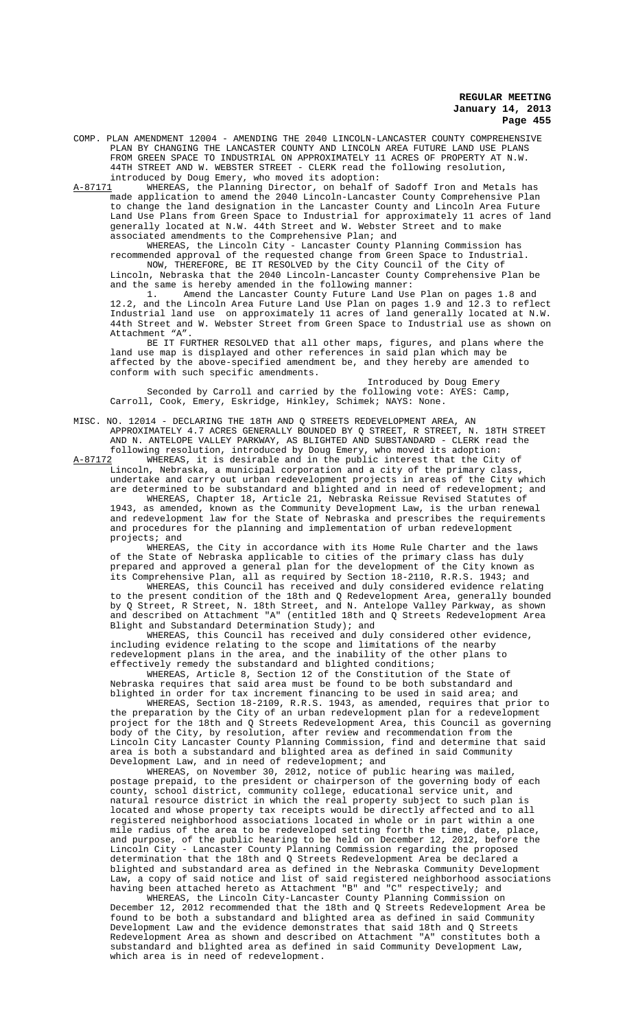COMP. PLAN AMENDMENT 12004 - AMENDING THE 2040 LINCOLN-LANCASTER COUNTY COMPREHENSIVE PLAN BY CHANGING THE LANCASTER COUNTY AND LINCOLN AREA FUTURE LAND USE PLANS FROM GREEN SPACE TO INDUSTRIAL ON APPROXIMATELY 11 ACRES OF PROPERTY AT N.W. 44TH STREET AND W. WEBSTER STREET - CLERK read the following resolution, introduced by Doug Emery, who moved its adoption:

A-87171 WHEREAS, the Planning Director, on behalf of Sadoff Iron and Metals has made application to amend the 2040 Lincoln-Lancaster County Comprehensive Plan to change the land designation in the Lancaster County and Lincoln Area Future Land Use Plans from Green Space to Industrial for approximately 11 acres of land generally located at N.W. 44th Street and W. Webster Street and to make associated amendments to the Comprehensive Plan; and

WHEREAS, the Lincoln City - Lancaster County Planning Commission has recommended approval of the requested change from Green Space to Industrial. NOW, THEREFORE, BE IT RESOLVED by the City Council of the City of Lincoln, Nebraska that the 2040 Lincoln-Lancaster County Comprehensive Plan be and the same is hereby amended in the following manner:<br>1. Amend the Lancaster County Future Land Use

Amend the Lancaster County Future Land Use Plan on pages 1.8 and 12.2, and the Lincoln Area Future Land Use Plan on pages 1.9 and 12.3 to reflect Industrial land use on approximately 11 acres of land generally located at N.W. 44th Street and W. Webster Street from Green Space to Industrial use as shown on Attachment "A".

BE IT FURTHER RESOLVED that all other maps, figures, and plans where the land use map is displayed and other references in said plan which may be affected by the above-specified amendment be, and they hereby are amended to conform with such specific amendments.

Introduced by Doug Emery Seconded by Carroll and carried by the following vote: AYES: Camp, Carroll, Cook, Emery, Eskridge, Hinkley, Schimek; NAYS: None.

MISC. NO. 12014 - DECLARING THE 18TH AND Q STREETS REDEVELOPMENT AREA, AN APPROXIMATELY 4.7 ACRES GENERALLY BOUNDED BY Q STREET, R STREET, N. 18TH STREET AND N. ANTELOPE VALLEY PARKWAY, AS BLIGHTED AND SUBSTANDARD - CLERK read the following resolution, introduced by Doug Emery, who moved its adoption:

WHEREAS, it is desirable and in the public interest that the City of Lincoln, Nebraska, a municipal corporation and a city of the primary class, undertake and carry out urban redevelopment projects in areas of the City which are determined to be substandard and blighted and in need of redevelopment; and WHEREAS, Chapter 18, Article 21, Nebraska Reissue Revised Statutes of 1943, as amended, known as the Community Development Law, is the urban renewal and redevelopment law for the State of Nebraska and prescribes the requirements and procedures for the planning and implementation of urban redevelopment projects; and

WHEREAS, the City in accordance with its Home Rule Charter and the laws of the State of Nebraska applicable to cities of the primary class has duly prepared and approved a general plan for the development of the City known as its Comprehensive Plan, all as required by Section 18-2110, R.R.S. 1943; and

WHEREAS, this Council has received and duly considered evidence relating to the present condition of the 18th and Q Redevelopment Area, generally bounded by Q Street, R Street, N. 18th Street, and N. Antelope Valley Parkway, as shown and described on Attachment "A" (entitled 18th and Q Streets Redevelopment Area Blight and Substandard Determination Study); and

WHEREAS, this Council has received and duly considered other evidence, including evidence relating to the scope and limitations of the nearby redevelopment plans in the area, and the inability of the other plans to effectively remedy the substandard and blighted conditions;

WHEREAS, Article 8, Section 12 of the Constitution of the State of Nebraska requires that said area must be found to be both substandard and blighted in order for tax increment financing to be used in said area; and

WHEREAS, Section 18-2109, R.R.S. 1943, as amended, requires that prior to the preparation by the City of an urban redevelopment plan for a redevelopment project for the 18th and Q Streets Redevelopment Area, this Council as governing body of the City, by resolution, after review and recommendation from the Lincoln City Lancaster County Planning Commission, find and determine that said area is both a substandard and blighted area as defined in said Community Development Law, and in need of redevelopment; and

WHEREAS, on November 30, 2012, notice of public hearing was mailed, postage prepaid, to the president or chairperson of the governing body of each county, school district, community college, educational service unit, and natural resource district in which the real property subject to such plan is located and whose property tax receipts would be directly affected and to all registered neighborhood associations located in whole or in part within a one mile radius of the area to be redeveloped setting forth the time, date, place, and purpose, of the public hearing to be held on December 12, 2012, before the Lincoln City - Lancaster County Planning Commission regarding the proposed determination that the 18th and Q Streets Redevelopment Area be declared a blighted and substandard area as defined in the Nebraska Community Development Law, a copy of said notice and list of said registered neighborhood associations having been attached hereto as Attachment "B" and "C" respectively; and

WHEREAS, the Lincoln City-Lancaster County Planning Commission on December 12, 2012 recommended that the 18th and Q Streets Redevelopment Area be found to be both a substandard and blighted area as defined in said Community Development Law and the evidence demonstrates that said 18th and Q Streets Redevelopment Area as shown and described on Attachment "A" constitutes both a substandard and blighted area as defined in said Community Development Law, which area is in need of redevelopment.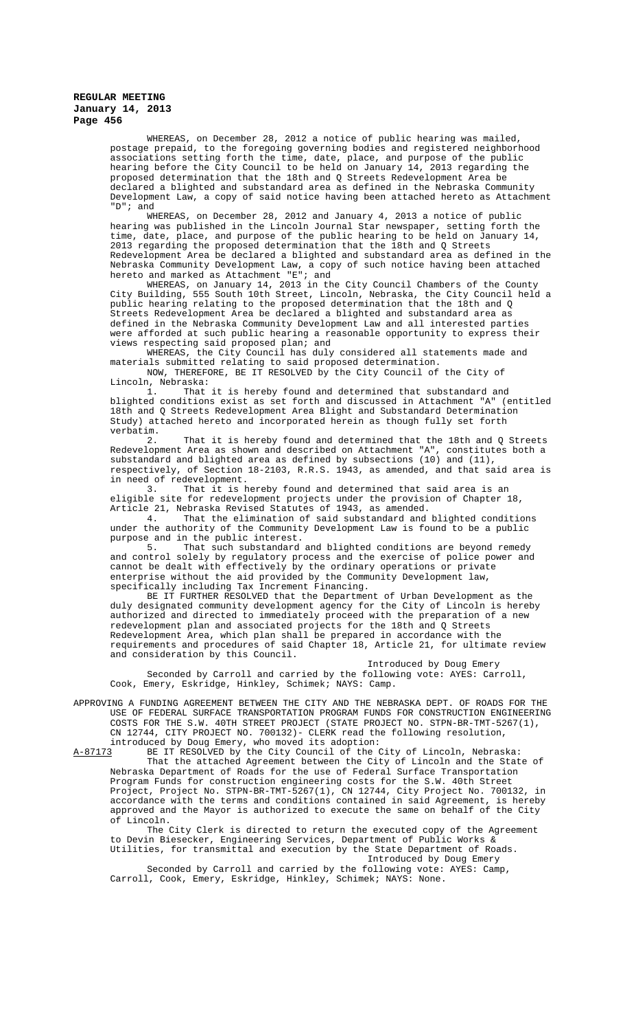WHEREAS, on December 28, 2012 a notice of public hearing was mailed, postage prepaid, to the foregoing governing bodies and registered neighborhood associations setting forth the time, date, place, and purpose of the public hearing before the City Council to be held on January 14, 2013 regarding the proposed determination that the 18th and Q Streets Redevelopment Area be declared a blighted and substandard area as defined in the Nebraska Community Development Law, a copy of said notice having been attached hereto as Attachment "D"; and

WHEREAS, on December 28, 2012 and January 4, 2013 a notice of public hearing was published in the Lincoln Journal Star newspaper, setting forth the time, date, place, and purpose of the public hearing to be held on January 14, 2013 regarding the proposed determination that the 18th and Q Streets Redevelopment Area be declared a blighted and substandard area as defined in the Nebraska Community Development Law, a copy of such notice having been attached hereto and marked as Attachment "E"; and

WHEREAS, on January 14, 2013 in the City Council Chambers of the County City Building, 555 South 10th Street, Lincoln, Nebraska, the City Council held a public hearing relating to the proposed determination that the 18th and Q Streets Redevelopment Area be declared a blighted and substandard area as defined in the Nebraska Community Development Law and all interested parties were afforded at such public hearing a reasonable opportunity to express their views respecting said proposed plan; and

WHEREAS, the City Council has duly considered all statements made and materials submitted relating to said proposed determination. NOW, THEREFORE, BE IT RESOLVED by the City Council of the City of

Lincoln, Nebraska: 1. That it is hereby found and determined that substandard and blighted conditions exist as set forth and discussed in Attachment "A" (entitled 18th and Q Streets Redevelopment Area Blight and Substandard Determination Study) attached hereto and incorporated herein as though fully set forth verbatim.

2. That it is hereby found and determined that the 18th and Q Streets Redevelopment Area as shown and described on Attachment "A", constitutes both a substandard and blighted area as defined by subsections (10) and (11), respectively, of Section 18-2103, R.R.S. 1943, as amended, and that said area is in need of redevelopment.<br>3. That it is h

That it is hereby found and determined that said area is an eligible site for redevelopment projects under the provision of Chapter 18, Article 21, Nebraska Revised Statutes of 1943, as amended.

4. That the elimination of said substandard and blighted conditions under the authority of the Community Development Law is found to be a public purpose and in the public interest.<br>5. That such substandard

That such substandard and blighted conditions are beyond remedy and control solely by regulatory process and the exercise of police power and cannot be dealt with effectively by the ordinary operations or private enterprise without the aid provided by the Community Development law, specifically including Tax Increment Financing.

BE IT FURTHER RESOLVED that the Department of Urban Development as the duly designated community development agency for the City of Lincoln is hereby authorized and directed to immediately proceed with the preparation of a new redevelopment plan and associated projects for the 18th and Q Streets Redevelopment Area, which plan shall be prepared in accordance with the requirements and procedures of said Chapter 18, Article 21, for ultimate review and consideration by this Council.

Introduced by Doug Emery Seconded by Carroll and carried by the following vote: AYES: Carroll, Cook, Emery, Eskridge, Hinkley, Schimek; NAYS: Camp.

APPROVING A FUNDING AGREEMENT BETWEEN THE CITY AND THE NEBRASKA DEPT. OF ROADS FOR THE USE OF FEDERAL SURFACE TRANSPORTATION PROGRAM FUNDS FOR CONSTRUCTION ENGINEERING COSTS FOR THE S.W. 40TH STREET PROJECT (STATE PROJECT NO. STPN-BR-TMT-5267(1), CN 12744, CITY PROJECT NO. 700132)- CLERK read the following resolution,

introduced by Doug Emery, who moved its adoption:

A-87173 BE IT RESOLVED by the City Council of the City of Lincoln, Nebraska: That the attached Agreement between the City of Lincoln and the State of Nebraska Department of Roads for the use of Federal Surface Transportation Program Funds for construction engineering costs for the S.W. 40th Street Project, Project No. STPN-BR-TMT-5267(1), CN 12744, City Project No. 700132, in accordance with the terms and conditions contained in said Agreement, is hereby approved and the Mayor is authorized to execute the same on behalf of the City of Lincoln.

The City Clerk is directed to return the executed copy of the Agreement to Devin Biesecker, Engineering Services, Department of Public Works & Utilities, for transmittal and execution by the State Department of Roads.

Introduced by Doug Emery Seconded by Carroll and carried by the following vote: AYES: Camp, Carroll, Cook, Emery, Eskridge, Hinkley, Schimek; NAYS: None.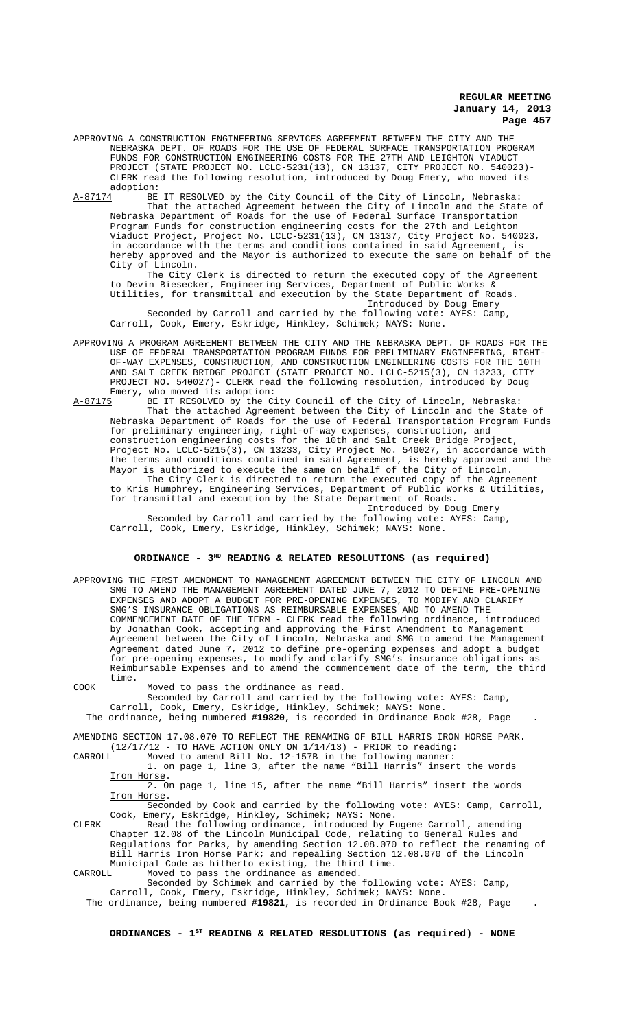- APPROVING A CONSTRUCTION ENGINEERING SERVICES AGREEMENT BETWEEN THE CITY AND THE NEBRASKA DEPT. OF ROADS FOR THE USE OF FEDERAL SURFACE TRANSPORTATION PROGRAM FUNDS FOR CONSTRUCTION ENGINEERING COSTS FOR THE 27TH AND LEIGHTON VIADUCT PROJECT (STATE PROJECT NO. LCLC-5231(13), CN 13137, CITY PROJECT NO. 540023)- CLERK read the following resolution, introduced by Doug Emery, who moved its adoption:<br><u>A-87174</u> BE
	- BE IT RESOLVED by the City Council of the City of Lincoln, Nebraska: That the attached Agreement between the City of Lincoln and the State of Nebraska Department of Roads for the use of Federal Surface Transportation Program Funds for construction engineering costs for the 27th and Leighton Viaduct Project, Project No. LCLC-5231(13), CN 13137, City Project No. 540023, in accordance with the terms and conditions contained in said Agreement, is hereby approved and the Mayor is authorized to execute the same on behalf of the City of Lincoln.

The City Clerk is directed to return the executed copy of the Agreement to Devin Biesecker, Engineering Services, Department of Public Works & Utilities, for transmittal and execution by the State Department of Roads. Introduced by Doug Emery

Seconded by Carroll and carried by the following vote: AYES: Camp, Carroll, Cook, Emery, Eskridge, Hinkley, Schimek; NAYS: None.

- APPROVING A PROGRAM AGREEMENT BETWEEN THE CITY AND THE NEBRASKA DEPT. OF ROADS FOR THE USE OF FEDERAL TRANSPORTATION PROGRAM FUNDS FOR PRELIMINARY ENGINEERING, RIGHT-OF-WAY EXPENSES, CONSTRUCTION, AND CONSTRUCTION ENGINEERING COSTS FOR THE 10TH AND SALT CREEK BRIDGE PROJECT (STATE PROJECT NO. LCLC-5215(3), CN 13233, CITY PROJECT NO. 540027)- CLERK read the following resolution, introduced by Doug Emery, who moved its adoption:
- A-87175 BE IT RESOLVED by the City Council of the City of Lincoln, Nebraska: That the attached Agreement between the City of Lincoln and the State of Nebraska Department of Roads for the use of Federal Transportation Program Funds for preliminary engineering, right-of-way expenses, construction, and construction engineering costs for the 10th and Salt Creek Bridge Project, Project No. LCLC-5215(3), CN 13233, City Project No. 540027, in accordance with the terms and conditions contained in said Agreement, is hereby approved and the Mayor is authorized to execute the same on behalf of the City of Lincoln.

The City Clerk is directed to return the executed copy of the Agreement to Kris Humphrey, Engineering Services, Department of Public Works & Utilities, for transmittal and execution by the State Department of Roads.

Introduced by Doug Emery Seconded by Carroll and carried by the following vote: AYES: Camp, Carroll, Cook, Emery, Eskridge, Hinkley, Schimek; NAYS: None.

# ORDINANCE - 3<sup>RD</sup> READING & RELATED RESOLUTIONS (as required)

APPROVING THE FIRST AMENDMENT TO MANAGEMENT AGREEMENT BETWEEN THE CITY OF LINCOLN AND SMG TO AMEND THE MANAGEMENT AGREEMENT DATED JUNE 7, 2012 TO DEFINE PRE-OPENING EXPENSES AND ADOPT A BUDGET FOR PRE-OPENING EXPENSES, TO MODIFY AND CLARIFY SMG'S INSURANCE OBLIGATIONS AS REIMBURSABLE EXPENSES AND TO AMEND THE COMMENCEMENT DATE OF THE TERM - CLERK read the following ordinance, introduced by Jonathan Cook, accepting and approving the First Amendment to Management Agreement between the City of Lincoln, Nebraska and SMG to amend the Management Agreement dated June 7, 2012 to define pre-opening expenses and adopt a budget for pre-opening expenses, to modify and clarify SMG's insurance obligations as Reimbursable Expenses and to amend the commencement date of the term, the third time.

COOK Moved to pass the ordinance as read.

Seconded by Carroll and carried by the following vote: AYES: Camp,

Carroll, Cook, Emery, Eskridge, Hinkley, Schimek; NAYS: None. The ordinance, being numbered **#19820**, is recorded in Ordinance Book #28, Page .

AMENDING SECTION 17.08.070 TO REFLECT THE RENAMING OF BILL HARRIS IRON HORSE PARK.  $(12/17/12$  - TO HAVE ACTION ONLY ON  $1/14/13$ ) - PRIOR to reading:

CARROLL Moved to amend Bill No. 12-157B in the following manner: 1. on page 1, line 3, after the name "Bill Harris" insert the words

Iron Horse. 2. On page 1, line 15, after the name "Bill Harris" insert the words Iron Horse.

Seconded by Cook and carried by the following vote: AYES: Camp, Carroll, Cook, Emery, Eskridge, Hinkley, Schimek; NAYS: None.

CLERK Read the following ordinance, introduced by Eugene Carroll, amending Chapter 12.08 of the Lincoln Municipal Code, relating to General Rules and Regulations for Parks, by amending Section 12.08.070 to reflect the renaming of Bill Harris Iron Horse Park; and repealing Section 12.08.070 of the Lincoln Municipal Code as hitherto existing, the third time.<br>CARROLL Moved to pass the ordinance as amended.

CARROLL Moved to pass the ordinance as amended.

Seconded by Schimek and carried by the following vote: AYES: Camp, Carroll, Cook, Emery, Eskridge, Hinkley, Schimek; NAYS: None.

The ordinance, being numbered **#19821**, is recorded in Ordinance Book #28, Page .

ORDINANCES - 1<sup>st</sup> READING & RELATED RESOLUTIONS (as required) - NONE